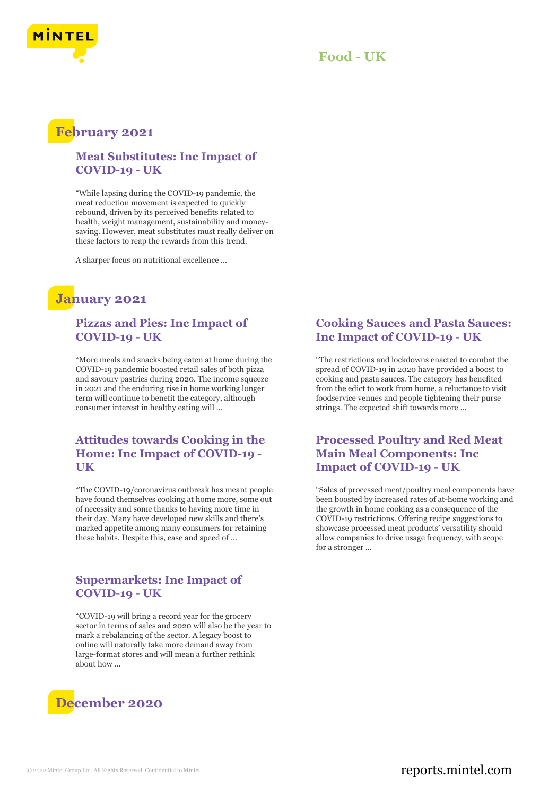

### **Food - UK**

## **February 2021**

#### **Meat Substitutes: Inc Impact of COVID-19 - UK**

"While lapsing during the COVID-19 pandemic, the meat reduction movement is expected to quickly rebound, driven by its perceived benefits related to health, weight management, sustainability and moneysaving. However, meat substitutes must really deliver on these factors to reap the rewards from this trend.

A sharper focus on nutritional excellence ...

# **January 2021**

#### **Pizzas and Pies: Inc Impact of COVID-19 - UK**

"More meals and snacks being eaten at home during the COVID-19 pandemic boosted retail sales of both pizza and savoury pastries during 2020. The income squeeze in 2021 and the enduring rise in home working longer term will continue to benefit the category, although consumer interest in healthy eating will ...

#### **Attitudes towards Cooking in the Home: Inc Impact of COVID-19 - UK**

"The COVID-19/coronavirus outbreak has meant people have found themselves cooking at home more, some out of necessity and some thanks to having more time in their day. Many have developed new skills and there's marked appetite among many consumers for retaining these habits. Despite this, ease and speed of ...

#### **Supermarkets: Inc Impact of COVID-19 - UK**

"COVID-19 will bring a record year for the grocery sector in terms of sales and 2020 will also be the year to mark a rebalancing of the sector. A legacy boost to online will naturally take more demand away from large-format stores and will mean a further rethink about how ...



#### **Cooking Sauces and Pasta Sauces: Inc Impact of COVID-19 - UK**

"The restrictions and lockdowns enacted to combat the spread of COVID-19 in 2020 have provided a boost to cooking and pasta sauces. The category has benefited from the edict to work from home, a reluctance to visit foodservice venues and people tightening their purse strings. The expected shift towards more ...

#### **Processed Poultry and Red Meat Main Meal Components: Inc Impact of COVID-19 - UK**

"Sales of processed meat/poultry meal components have been boosted by increased rates of at-home working and the growth in home cooking as a consequence of the COVID-19 restrictions. Offering recipe suggestions to showcase processed meat products' versatility should allow companies to drive usage frequency, with scope for a stronger ...